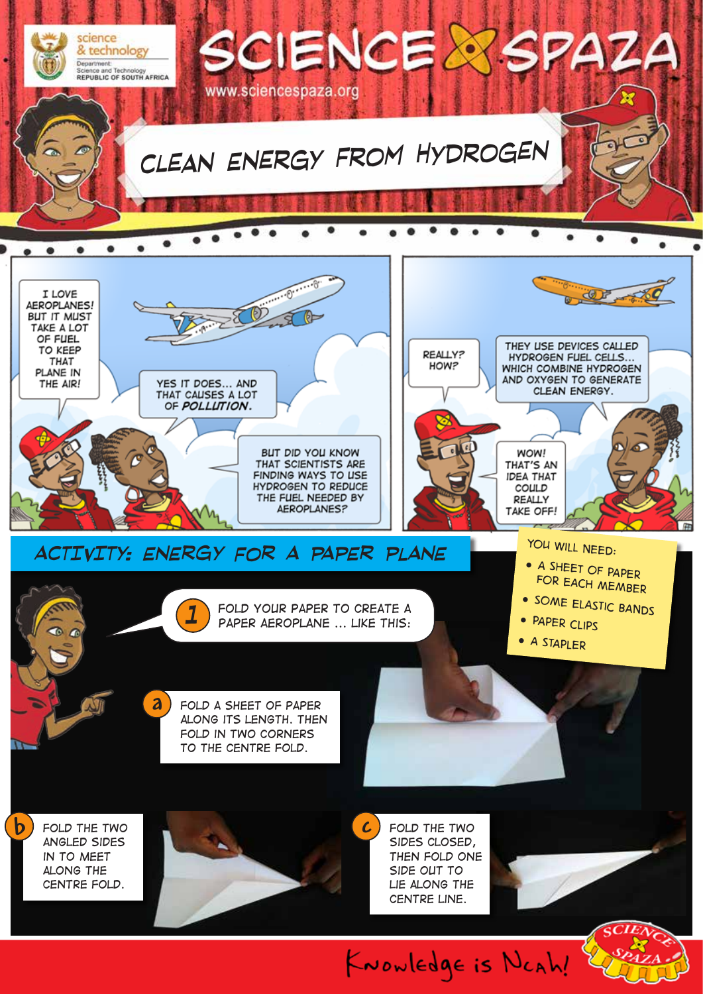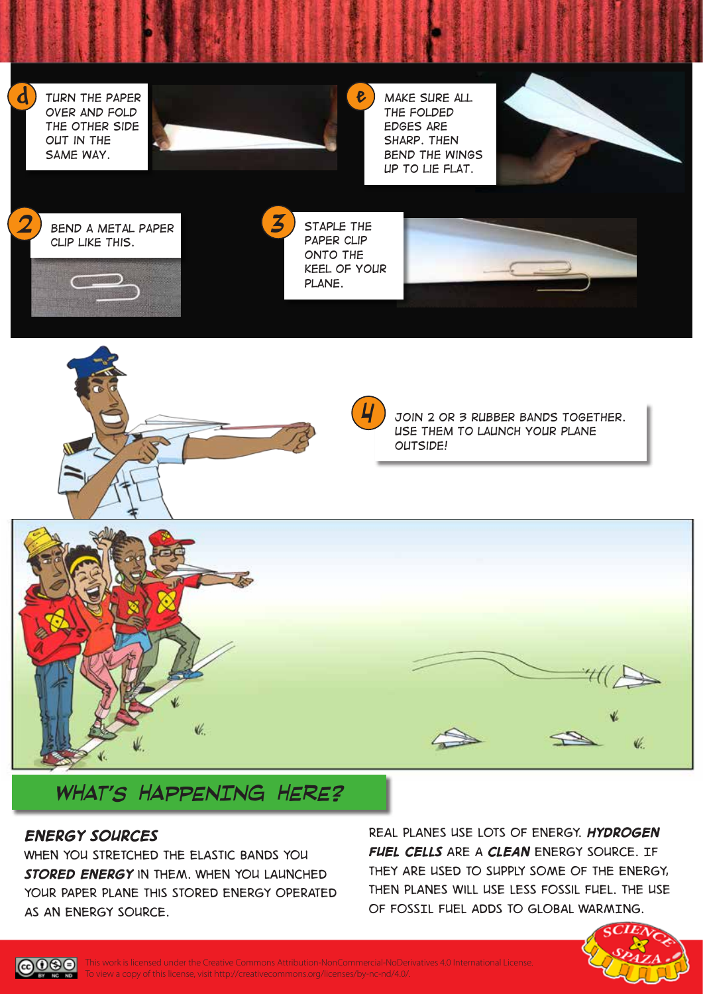*Turn the paper over and fold the other side out in the same way.*

**d**



*Make sure all the folded edges are sharp. Then bend the wings up to lie flat.*







*3*

**e**







*Join 2 or 3 rubber bands together. Use them to launch your plane outside!* 





# *WHAT'S HAPPENING HERE?*

### *Energy sources*

∩ஓ⊜ ND.

*When you stretched the elastic bands you stored energy in them. When you launched your paper plane this stored energy operated as an energy source.*

*Real planes use lots of energy. Hydrogen Fuel Cells are a clean energy source. If they are used to supply some of the energy, then planes will use less fossil fuel. THE USE OF FOSSIL FUEL ADDS TO GLOBAL WARMING.*



This work is licensed under the Creative Commons Attribution-NonCommercial-NoDerivatives 4.0 International License. To view a copy of this license, visit http://creativecommons.org/licenses/by-nc-nd/4.0/.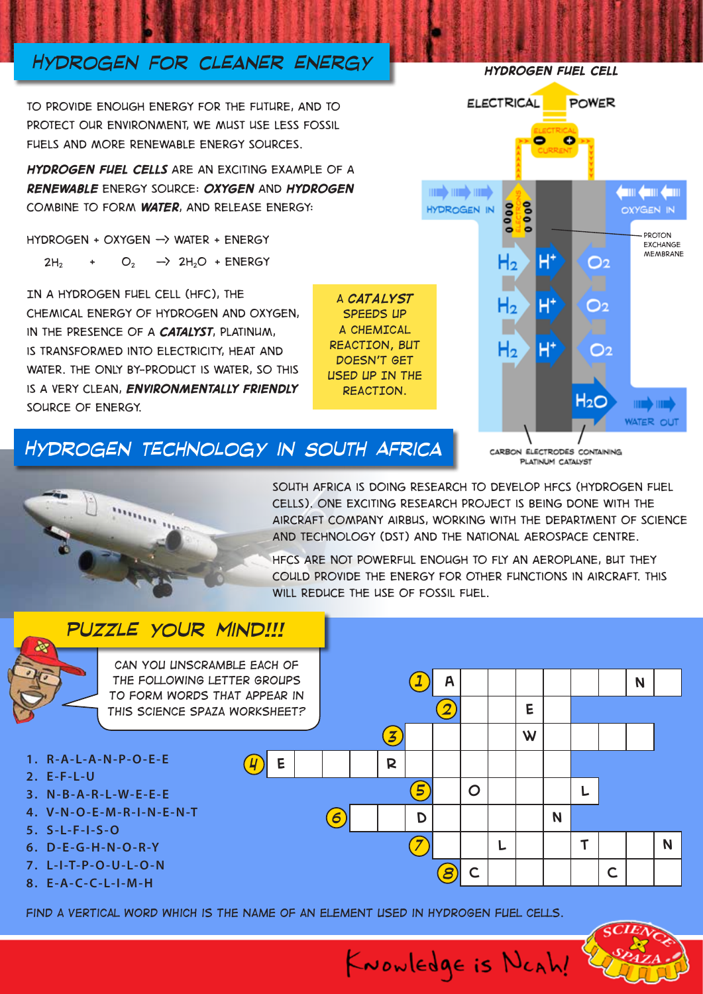## *Hydrogen for cleaner energy*

*To provide enough energy for the future, and to protect our environment, we must use less fossil fuels and more renewable energy sources.* 

*Hydrogen fuel cells are an exciting example of a renewable energy source: oxygen and hydrogen combine to form water, and release energy:*

*hydrogen + oxygen -> water + energy*  $2H_2$  +  $O_2$   $\rightarrow$   $2H_2$  +  $2H_2$   $\rightarrow$   $2H_2$  +  $\rightarrow$   $2H_2$   $\rightarrow$   $2H_2$   $\rightarrow$   $2H_2$   $\rightarrow$   $2H_2$   $\rightarrow$   $2H_2$   $\rightarrow$   $2H_2$   $\rightarrow$   $2H_2$   $\rightarrow$   $2H_2$   $\rightarrow$   $2H_2$   $\rightarrow$   $2H_2$   $\rightarrow$   $2H_2$   $\rightarrow$   $2H_2$   $\rightarrow$   $2H_2$   $\rightarrow$   $2H_2$   $\rightarrow$ 

*In a hydrogen fuel cell (HFC), the chemical energy of hydrogen and oxygen, in the presence of a catalyst, platinum, is transformed into electricity, heat and water. The only by-product is water, so this is a very clean, environmentally friendly source of energy.*

*A CATALYST SPEEDS UP A CHEMICAL REACTION, BUT*  **DOESN'T GET** *USED UP IN THE REACTION.*

## *Hydrogen technology in South Africa*

CARRON ELECTRODES CONTAINING PLATINUM CATALYST



*South Africa is doing research to develop HFCS (Hydrogen Fuel Cells). One exciting research project is being done with the aircraft company Airbus, working with the Department of Science and Technology (DST) and the National Aerospace Centre.* 

*HFCs are not powerful enough to fly an aeroplane, but they could provide the energy for other functions in aircraft. This will reduce the use of fossil fuel.* 

KNOWLEDge is NCAh!

## *puzzle your mind!!!*



*Find a vertical word which is the name of an element used in hydrogen fuel cells.*